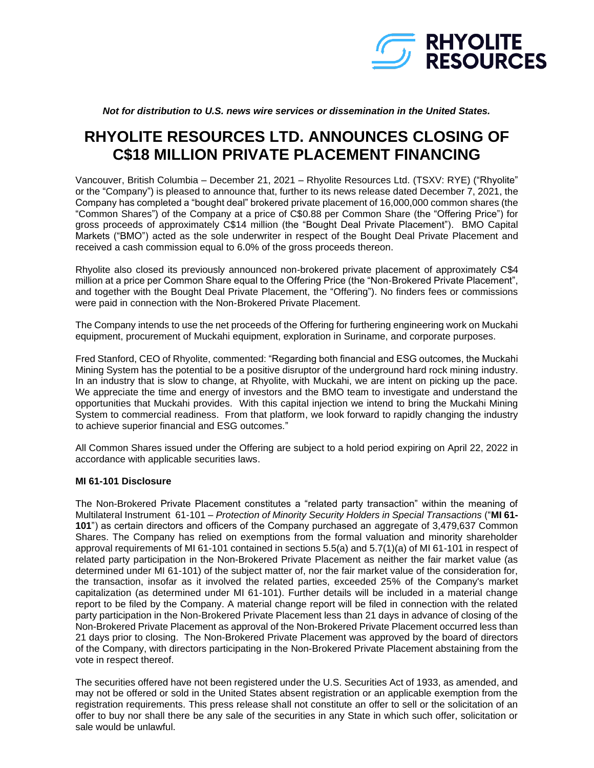

*Not for distribution to U.S. news wire services or dissemination in the United States.*

# **RHYOLITE RESOURCES LTD. ANNOUNCES CLOSING OF C\$18 MILLION PRIVATE PLACEMENT FINANCING**

Vancouver, British Columbia – December 21, 2021 – Rhyolite Resources Ltd. (TSXV: RYE) ("Rhyolite" or the "Company") is pleased to announce that, further to its news release dated December 7, 2021, the Company has completed a "bought deal" brokered private placement of 16,000,000 common shares (the "Common Shares") of the Company at a price of C\$0.88 per Common Share (the "Offering Price") for gross proceeds of approximately C\$14 million (the "Bought Deal Private Placement"). BMO Capital Markets ("BMO") acted as the sole underwriter in respect of the Bought Deal Private Placement and received a cash commission equal to 6.0% of the gross proceeds thereon.

Rhyolite also closed its previously announced non-brokered private placement of approximately C\$4 million at a price per Common Share equal to the Offering Price (the "Non-Brokered Private Placement", and together with the Bought Deal Private Placement, the "Offering"). No finders fees or commissions were paid in connection with the Non-Brokered Private Placement.

The Company intends to use the net proceeds of the Offering for furthering engineering work on Muckahi equipment, procurement of Muckahi equipment, exploration in Suriname, and corporate purposes.

Fred Stanford, CEO of Rhyolite, commented: "Regarding both financial and ESG outcomes, the Muckahi Mining System has the potential to be a positive disruptor of the underground hard rock mining industry. In an industry that is slow to change, at Rhyolite, with Muckahi, we are intent on picking up the pace. We appreciate the time and energy of investors and the BMO team to investigate and understand the opportunities that Muckahi provides. With this capital injection we intend to bring the Muckahi Mining System to commercial readiness. From that platform, we look forward to rapidly changing the industry to achieve superior financial and ESG outcomes."

All Common Shares issued under the Offering are subject to a hold period expiring on April 22, 2022 in accordance with applicable securities laws.

## **MI 61-101 Disclosure**

The Non-Brokered Private Placement constitutes a "related party transaction" within the meaning of Multilateral Instrument 61-101 – *Protection of Minority Security Holders in Special Transactions* ("**MI 61- 101**") as certain directors and officers of the Company purchased an aggregate of 3,479,637 Common Shares. The Company has relied on exemptions from the formal valuation and minority shareholder approval requirements of MI 61-101 contained in sections 5.5(a) and 5.7(1)(a) of MI 61-101 in respect of related party participation in the Non-Brokered Private Placement as neither the fair market value (as determined under MI 61-101) of the subject matter of, nor the fair market value of the consideration for, the transaction, insofar as it involved the related parties, exceeded 25% of the Company's market capitalization (as determined under MI 61-101). Further details will be included in a material change report to be filed by the Company. A material change report will be filed in connection with the related party participation in the Non-Brokered Private Placement less than 21 days in advance of closing of the Non-Brokered Private Placement as approval of the Non-Brokered Private Placement occurred less than 21 days prior to closing. The Non-Brokered Private Placement was approved by the board of directors of the Company, with directors participating in the Non-Brokered Private Placement abstaining from the vote in respect thereof.

The securities offered have not been registered under the U.S. Securities Act of 1933, as amended, and may not be offered or sold in the United States absent registration or an applicable exemption from the registration requirements. This press release shall not constitute an offer to sell or the solicitation of an offer to buy nor shall there be any sale of the securities in any State in which such offer, solicitation or sale would be unlawful.